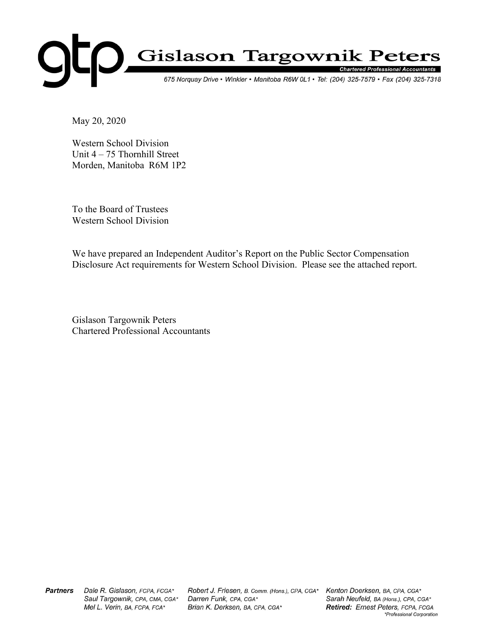

May 20, 2020

Western School Division Unit 4 – 75 Thornhill Street Morden, Manitoba R6M 1P2

To the Board of Trustees Western School Division

We have prepared an Independent Auditor's Report on the Public Sector Compensation Disclosure Act requirements for Western School Division. Please see the attached report.

Gislason Targownik Peters Chartered Professional Accountants

**Partners** Dale R. Gislason, FCPA, FCGA\* Saul Targownik, CPA, CMA, CGA\* Mel L. Verin, BA, FCPA, FCA\*

Robert J. Friesen, B. Comm. (Hons.), CPA, CGA\* Darren Funk, CPA, CGA\* Brian K. Derksen, BA, CPA, CGA\*

Kenton Doerksen, BA, CPA, CGA\* Sarah Neufeld, BA (Hons.), CPA, CGA\* Retired: Ernest Peters, FCPA, FCGA \*Professional Corporation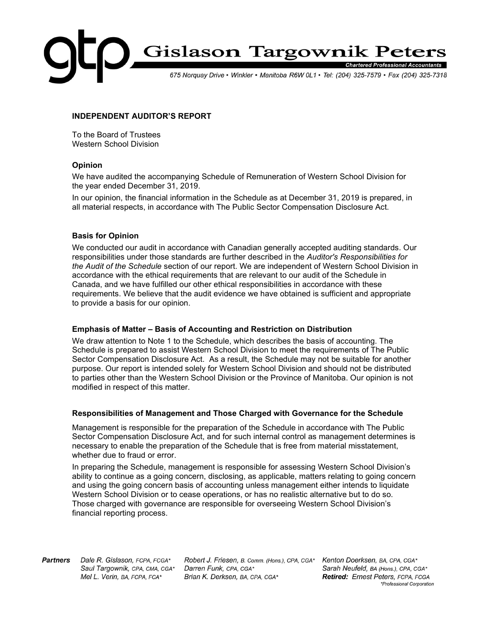

## INDEPENDENT AUDITOR'S REPORT

To the Board of Trustees Western School Division

### Opinion

We have audited the accompanying Schedule of Remuneration of Western School Division for the year ended December 31, 2019.

In our opinion, the financial information in the Schedule as at December 31, 2019 is prepared, in all material respects, in accordance with The Public Sector Compensation Disclosure Act.

## Basis for Opinion

We conducted our audit in accordance with Canadian generally accepted auditing standards. Our responsibilities under those standards are further described in the Auditor's Responsibilities for the Audit of the Schedule section of our report. We are independent of Western School Division in accordance with the ethical requirements that are relevant to our audit of the Schedule in Canada, and we have fulfilled our other ethical responsibilities in accordance with these requirements. We believe that the audit evidence we have obtained is sufficient and appropriate to provide a basis for our opinion.

#### Emphasis of Matter – Basis of Accounting and Restriction on Distribution

We draw attention to Note 1 to the Schedule, which describes the basis of accounting. The Schedule is prepared to assist Western School Division to meet the requirements of The Public Sector Compensation Disclosure Act. As a result, the Schedule may not be suitable for another purpose. Our report is intended solely for Western School Division and should not be distributed to parties other than the Western School Division or the Province of Manitoba. Our opinion is not modified in respect of this matter.

## Responsibilities of Management and Those Charged with Governance for the Schedule

Management is responsible for the preparation of the Schedule in accordance with The Public Sector Compensation Disclosure Act, and for such internal control as management determines is necessary to enable the preparation of the Schedule that is free from material misstatement, whether due to fraud or error.

In preparing the Schedule, management is responsible for assessing Western School Division's ability to continue as a going concern, disclosing, as applicable, matters relating to going concern and using the going concern basis of accounting unless management either intends to liquidate Western School Division or to cease operations, or has no realistic alternative but to do so. Those charged with governance are responsible for overseeing Western School Division's financial reporting process.

**Partners** Dale R. Gislason, FCPA, FCGA\* Saul Targownik, CPA, CMA, CGA\* Mel L. Verin, BA, FCPA, FCA\*

Robert J. Friesen, B. Comm. (Hons.), CPA, CGA\* Darren Funk, CPA, CGA\* Brian K. Derksen, BA, CPA, CGA\*

Kenton Doerksen, BA, CPA, CGA\* Sarah Neufeld, BA (Hons.), CPA, CGA\* Retired: Ernest Peters, FCPA, FCGA \*Professional Corporation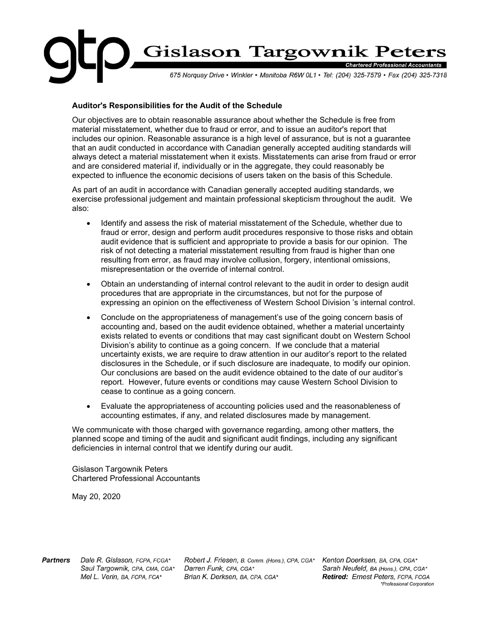

# Auditor's Responsibilities for the Audit of the Schedule

Our objectives are to obtain reasonable assurance about whether the Schedule is free from material misstatement, whether due to fraud or error, and to issue an auditor's report that includes our opinion. Reasonable assurance is a high level of assurance, but is not a guarantee that an audit conducted in accordance with Canadian generally accepted auditing standards will always detect a material misstatement when it exists. Misstatements can arise from fraud or error and are considered material if, individually or in the aggregate, they could reasonably be expected to influence the economic decisions of users taken on the basis of this Schedule.

As part of an audit in accordance with Canadian generally accepted auditing standards, we exercise professional judgement and maintain professional skepticism throughout the audit. We also:

- Identify and assess the risk of material misstatement of the Schedule, whether due to fraud or error, design and perform audit procedures responsive to those risks and obtain audit evidence that is sufficient and appropriate to provide a basis for our opinion. The risk of not detecting a material misstatement resulting from fraud is higher than one resulting from error, as fraud may involve collusion, forgery, intentional omissions, misrepresentation or the override of internal control.
- Obtain an understanding of internal control relevant to the audit in order to design audit procedures that are appropriate in the circumstances, but not for the purpose of expressing an opinion on the effectiveness of Western School Division 's internal control.
- Conclude on the appropriateness of management's use of the going concern basis of accounting and, based on the audit evidence obtained, whether a material uncertainty exists related to events or conditions that may cast significant doubt on Western School Division's ability to continue as a going concern. If we conclude that a material uncertainty exists, we are require to draw attention in our auditor's report to the related disclosures in the Schedule, or if such disclosure are inadequate, to modify our opinion. Our conclusions are based on the audit evidence obtained to the date of our auditor's report. However, future events or conditions may cause Western School Division to cease to continue as a going concern.
- Evaluate the appropriateness of accounting policies used and the reasonableness of accounting estimates, if any, and related disclosures made by management.

We communicate with those charged with governance regarding, among other matters, the planned scope and timing of the audit and significant audit findings, including any significant deficiencies in internal control that we identify during our audit.

Gislason Targownik Peters Chartered Professional Accountants

May 20, 2020

**Partners** Dale R. Gislason, FCPA, FCGA\* Saul Targownik, CPA, CMA, CGA\* Mel L. Verin, BA, FCPA, FCA\*

Robert J. Friesen, B. Comm. (Hons.), CPA, CGA\* Darren Funk, CPA, CGA\* Brian K. Derksen, BA, CPA, CGA\*

Kenton Doerksen, BA, CPA, CGA\* Sarah Neufeld, BA (Hons.), CPA, CGA\* Retired: Ernest Peters, FCPA, FCGA \*Professional Corporation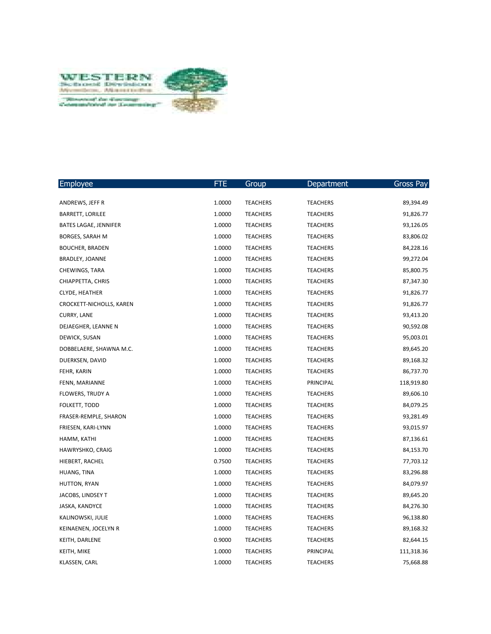

| Employee                 | FTE.   | Group           | Department      | Gross Pay  |
|--------------------------|--------|-----------------|-----------------|------------|
|                          |        |                 |                 |            |
| ANDREWS, JEFF R          | 1.0000 | <b>TEACHERS</b> | <b>TEACHERS</b> | 89,394.49  |
| <b>BARRETT, LORILEE</b>  | 1.0000 | <b>TEACHERS</b> | <b>TEACHERS</b> | 91,826.77  |
| BATES LAGAE, JENNIFER    | 1.0000 | <b>TEACHERS</b> | <b>TEACHERS</b> | 93,126.05  |
| BORGES, SARAH M          | 1.0000 | <b>TEACHERS</b> | <b>TEACHERS</b> | 83,806.02  |
| <b>BOUCHER, BRADEN</b>   | 1.0000 | <b>TEACHERS</b> | <b>TEACHERS</b> | 84,228.16  |
| BRADLEY, JOANNE          | 1.0000 | <b>TEACHERS</b> | <b>TEACHERS</b> | 99,272.04  |
| CHEWINGS, TARA           | 1.0000 | <b>TEACHERS</b> | <b>TEACHERS</b> | 85,800.75  |
| CHIAPPETTA, CHRIS        | 1.0000 | <b>TEACHERS</b> | <b>TEACHERS</b> | 87,347.30  |
| <b>CLYDE, HEATHER</b>    | 1.0000 | <b>TEACHERS</b> | <b>TEACHERS</b> | 91,826.77  |
| CROCKETT-NICHOLLS, KAREN | 1.0000 | <b>TEACHERS</b> | <b>TEACHERS</b> | 91,826.77  |
| <b>CURRY, LANE</b>       | 1.0000 | <b>TEACHERS</b> | <b>TEACHERS</b> | 93,413.20  |
| DEJAEGHER, LEANNE N      | 1.0000 | <b>TEACHERS</b> | <b>TEACHERS</b> | 90,592.08  |
| DEWICK, SUSAN            | 1.0000 | <b>TEACHERS</b> | <b>TEACHERS</b> | 95,003.01  |
| DOBBELAERE, SHAWNA M.C.  | 1.0000 | <b>TEACHERS</b> | <b>TEACHERS</b> | 89,645.20  |
| DUERKSEN, DAVID          | 1.0000 | <b>TEACHERS</b> | <b>TEACHERS</b> | 89,168.32  |
| FEHR, KARIN              | 1.0000 | <b>TEACHERS</b> | <b>TEACHERS</b> | 86,737.70  |
| FENN, MARIANNE           | 1.0000 | <b>TEACHERS</b> | PRINCIPAL       | 118,919.80 |
| FLOWERS, TRUDY A         | 1.0000 | <b>TEACHERS</b> | <b>TEACHERS</b> | 89,606.10  |
| FOLKETT, TODD            | 1.0000 | <b>TEACHERS</b> | <b>TEACHERS</b> | 84,079.25  |
| FRASER-REMPLE, SHARON    | 1.0000 | <b>TEACHERS</b> | <b>TEACHERS</b> | 93,281.49  |
| FRIESEN, KARI-LYNN       | 1.0000 | <b>TEACHERS</b> | <b>TEACHERS</b> | 93,015.97  |
| HAMM, KATHI              | 1.0000 | <b>TEACHERS</b> | <b>TEACHERS</b> | 87,136.61  |
| HAWRYSHKO, CRAIG         | 1.0000 | <b>TEACHERS</b> | <b>TEACHERS</b> | 84,153.70  |
| HIEBERT, RACHEL          | 0.7500 | <b>TEACHERS</b> | <b>TEACHERS</b> | 77,703.12  |
| HUANG, TINA              | 1.0000 | <b>TEACHERS</b> | <b>TEACHERS</b> | 83,296.88  |
| HUTTON, RYAN             | 1.0000 | <b>TEACHERS</b> | <b>TEACHERS</b> | 84,079.97  |
| JACOBS, LINDSEY T        | 1.0000 | <b>TEACHERS</b> | <b>TEACHERS</b> | 89,645.20  |
| JASKA, KANDYCE           | 1.0000 | <b>TEACHERS</b> | <b>TEACHERS</b> | 84,276.30  |
| KALINOWSKI, JULIE        | 1.0000 | <b>TEACHERS</b> | <b>TEACHERS</b> | 96,138.80  |
| KEINAENEN, JOCELYN R     | 1.0000 | <b>TEACHERS</b> | <b>TEACHERS</b> | 89,168.32  |
| KEITH, DARLENE           | 0.9000 | <b>TEACHERS</b> | <b>TEACHERS</b> | 82,644.15  |
| KEITH, MIKE              | 1.0000 | <b>TEACHERS</b> | PRINCIPAL       | 111,318.36 |
| KLASSEN, CARL            | 1.0000 | <b>TEACHERS</b> | <b>TEACHERS</b> | 75,668.88  |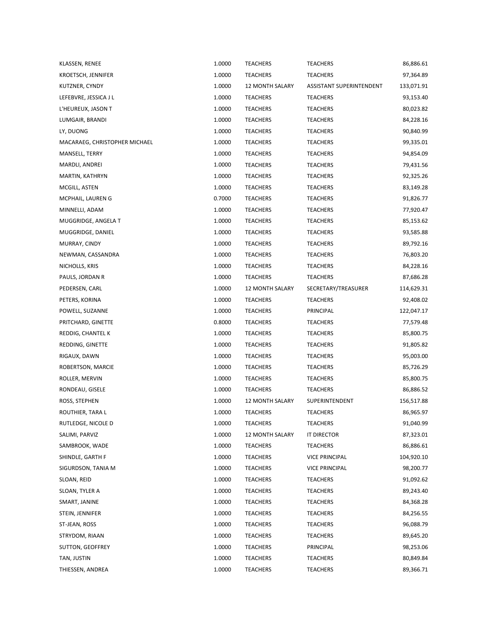| KLASSEN, RENEE                | 1.0000 | <b>TEACHERS</b>        | <b>TEACHERS</b>                 | 86,886.61  |
|-------------------------------|--------|------------------------|---------------------------------|------------|
| KROETSCH, JENNIFER            | 1.0000 | <b>TEACHERS</b>        | <b>TEACHERS</b>                 | 97,364.89  |
| KUTZNER, CYNDY                | 1.0000 | <b>12 MONTH SALARY</b> | <b>ASSISTANT SUPERINTENDENT</b> | 133,071.91 |
| LEFEBVRE, JESSICA J L         | 1.0000 | <b>TEACHERS</b>        | <b>TEACHERS</b>                 | 93,153.40  |
| L'HEUREUX, JASON T            | 1.0000 | <b>TEACHERS</b>        | <b>TEACHERS</b>                 | 80,023.82  |
| LUMGAIR, BRANDI               | 1.0000 | <b>TEACHERS</b>        | <b>TEACHERS</b>                 | 84,228.16  |
| LY, DUONG                     | 1.0000 | <b>TEACHERS</b>        | <b>TEACHERS</b>                 | 90,840.99  |
| MACARAEG, CHRISTOPHER MICHAEL | 1.0000 | <b>TEACHERS</b>        | <b>TEACHERS</b>                 | 99,335.01  |
| MANSELL, TERRY                | 1.0000 | <b>TEACHERS</b>        | <b>TEACHERS</b>                 | 94,854.09  |
| MARDLI, ANDREI                | 1.0000 | <b>TEACHERS</b>        | <b>TEACHERS</b>                 | 79,431.56  |
| MARTIN, KATHRYN               | 1.0000 | <b>TEACHERS</b>        | <b>TEACHERS</b>                 | 92,325.26  |
| MCGILL, ASTEN                 | 1.0000 | <b>TEACHERS</b>        | <b>TEACHERS</b>                 | 83,149.28  |
| MCPHAIL, LAUREN G             | 0.7000 | <b>TEACHERS</b>        | <b>TEACHERS</b>                 | 91,826.77  |
| MINNELLI, ADAM                | 1.0000 | <b>TEACHERS</b>        | <b>TEACHERS</b>                 | 77,920.47  |
| MUGGRIDGE, ANGELA T           | 1.0000 | <b>TEACHERS</b>        | <b>TEACHERS</b>                 | 85,153.62  |
| MUGGRIDGE, DANIEL             | 1.0000 | <b>TEACHERS</b>        | <b>TEACHERS</b>                 | 93,585.88  |
| MURRAY, CINDY                 | 1.0000 | <b>TEACHERS</b>        | <b>TEACHERS</b>                 | 89,792.16  |
| NEWMAN, CASSANDRA             | 1.0000 | <b>TEACHERS</b>        | <b>TEACHERS</b>                 | 76,803.20  |
| NICHOLLS, KRIS                | 1.0000 | <b>TEACHERS</b>        | <b>TEACHERS</b>                 | 84,228.16  |
| PAULS, JORDAN R               | 1.0000 | <b>TEACHERS</b>        | <b>TEACHERS</b>                 | 87,686.28  |
| PEDERSEN, CARL                | 1.0000 | <b>12 MONTH SALARY</b> | SECRETARY/TREASURER             | 114,629.31 |
| PETERS, KORINA                | 1.0000 | TEACHERS               | <b>TEACHERS</b>                 | 92,408.02  |
| POWELL, SUZANNE               | 1.0000 | <b>TEACHERS</b>        | PRINCIPAL                       | 122,047.17 |
| PRITCHARD, GINETTE            | 0.8000 | <b>TEACHERS</b>        | <b>TEACHERS</b>                 | 77,579.48  |
| REDDIG, CHANTEL K             | 1.0000 | <b>TEACHERS</b>        | <b>TEACHERS</b>                 | 85,800.75  |
| REDDING, GINETTE              | 1.0000 | TEACHERS               | TEACHERS                        | 91,805.82  |
| RIGAUX, DAWN                  | 1.0000 | <b>TEACHERS</b>        | <b>TEACHERS</b>                 | 95,003.00  |
| ROBERTSON, MARCIE             | 1.0000 | TEACHERS               | TEACHERS                        | 85,726.29  |
| ROLLER, MERVIN                | 1.0000 | <b>TEACHERS</b>        | <b>TEACHERS</b>                 | 85,800.75  |
| RONDEAU, GISELE               | 1.0000 | <b>TEACHERS</b>        | <b>TEACHERS</b>                 | 86,886.52  |
| ROSS, STEPHEN                 | 1.0000 | <b>12 MONTH SALARY</b> | SUPERINTENDENT                  | 156,517.88 |
| ROUTHIER, TARA L              | 1.0000 | <b>TEACHERS</b>        | <b>TEACHERS</b>                 | 86,965.97  |
| RUTLEDGE, NICOLE D            | 1.0000 | TEACHERS               | <b>TEACHERS</b>                 | 91,040.99  |
| SALIMI, PARVIZ                | 1.0000 | <b>12 MONTH SALARY</b> | IT DIRECTOR                     | 87,323.01  |
| SAMBROOK, WADE                | 1.0000 | TEACHERS               | <b>TEACHERS</b>                 | 86,886.61  |
| SHINDLE, GARTH F              | 1.0000 | TEACHERS               | <b>VICE PRINCIPAL</b>           | 104,920.10 |
| SIGURDSON, TANIA M            | 1.0000 | TEACHERS               | <b>VICE PRINCIPAL</b>           | 98,200.77  |
| SLOAN, REID                   | 1.0000 | TEACHERS               | TEACHERS                        | 91,092.62  |
| SLOAN, TYLER A                | 1.0000 | TEACHERS               | <b>TEACHERS</b>                 | 89,243.40  |
| SMART, JANINE                 | 1.0000 | <b>TEACHERS</b>        | TEACHERS                        | 84,368.28  |
| STEIN, JENNIFER               | 1.0000 | <b>TEACHERS</b>        | <b>TEACHERS</b>                 | 84,256.55  |
| ST-JEAN, ROSS                 | 1.0000 | TEACHERS               | <b>TEACHERS</b>                 | 96,088.79  |
| STRYDOM, RIAAN                | 1.0000 | TEACHERS               | TEACHERS                        | 89,645.20  |
| SUTTON, GEOFFREY              | 1.0000 | <b>TEACHERS</b>        | PRINCIPAL                       | 98,253.06  |
| TAN, JUSTIN                   | 1.0000 | TEACHERS               | TEACHERS                        | 80,849.84  |
| THIESSEN, ANDREA              | 1.0000 | <b>TEACHERS</b>        | TEACHERS                        | 89,366.71  |